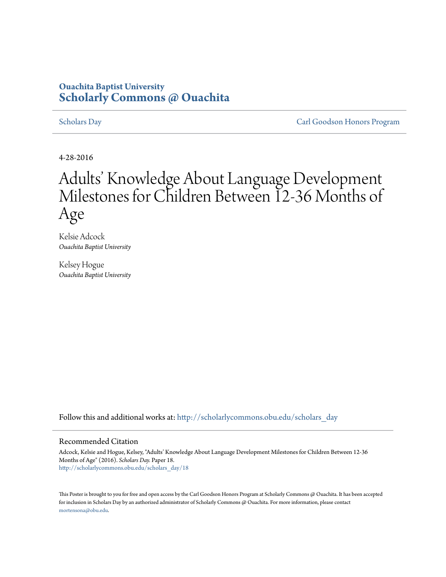### **Ouachita Baptist University [Scholarly Commons @ Ouachita](http://scholarlycommons.obu.edu?utm_source=scholarlycommons.obu.edu%2Fscholars_day%2F18&utm_medium=PDF&utm_campaign=PDFCoverPages)**

[Scholars Day](http://scholarlycommons.obu.edu/scholars_day?utm_source=scholarlycommons.obu.edu%2Fscholars_day%2F18&utm_medium=PDF&utm_campaign=PDFCoverPages) [Carl Goodson Honors Program](http://scholarlycommons.obu.edu/honors?utm_source=scholarlycommons.obu.edu%2Fscholars_day%2F18&utm_medium=PDF&utm_campaign=PDFCoverPages)

4-28-2016

### Adults' Knowledge About Language Development Milestones for Children Between I2-36 Months of Age

Kelsie Adcock *Ouachita Baptist University*

Kelsey Hogue *Ouachita Baptist University*

Follow this and additional works at: [http://scholarlycommons.obu.edu/scholars\\_day](http://scholarlycommons.obu.edu/scholars_day?utm_source=scholarlycommons.obu.edu%2Fscholars_day%2F18&utm_medium=PDF&utm_campaign=PDFCoverPages)

### Recommended Citation

Adcock, Kelsie and Hogue, Kelsey, "Adults' Knowledge About Language Development Milestones for Children Between 12-36 Months of Age" (2016). *Scholars Day.* Paper 18. [http://scholarlycommons.obu.edu/scholars\\_day/18](http://scholarlycommons.obu.edu/scholars_day/18?utm_source=scholarlycommons.obu.edu%2Fscholars_day%2F18&utm_medium=PDF&utm_campaign=PDFCoverPages)

This Poster is brought to you for free and open access by the Carl Goodson Honors Program at Scholarly Commons @ Ouachita. It has been accepted for inclusion in Scholars Day by an authorized administrator of Scholarly Commons @ Ouachita. For more information, please contact [mortensona@obu.edu](mailto:mortensona@obu.edu).